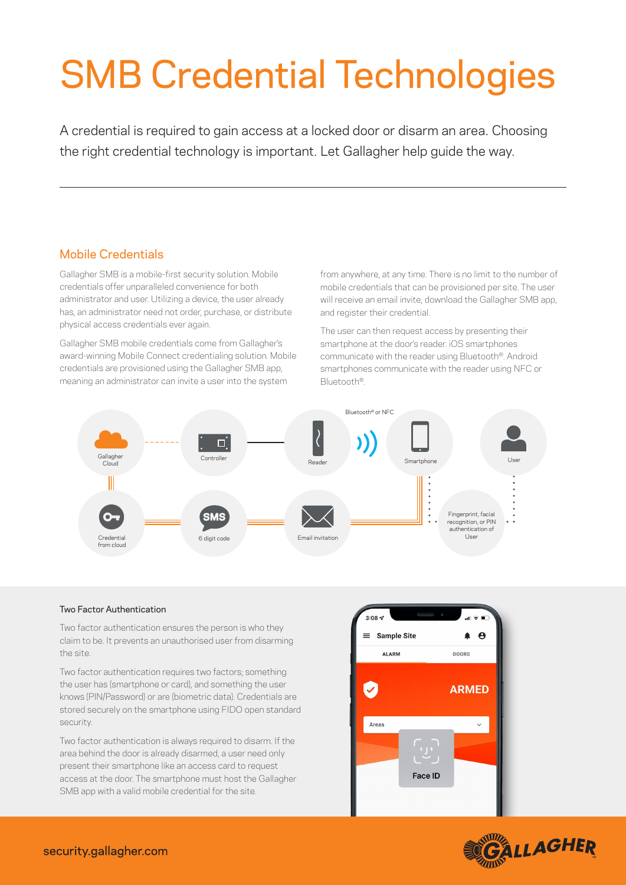# SMB Credential Technologies

A credential is required to gain access at a locked door or disarm an area. Choosing the right credential technology is important. Let Gallagher help guide the way.

## Mobile Credentials

Gallagher SMB is a mobile-first security solution. Mobile credentials offer unparalleled convenience for both administrator and user. Utilizing a device, the user already has, an administrator need not order, purchase, or distribute physical access credentials ever again.

Gallagher SMB mobile credentials come from Gallagher's award-winning Mobile Connect credentialing solution. Mobile credentials are provisioned using the Gallagher SMB app, meaning an administrator can invite a user into the system

from anywhere, at any time. There is no limit to the number of mobile credentials that can be provisioned per site. The user will receive an email invite, download the Gallagher SMB app, and register their credential.

The user can then request access by presenting their smartphone at the door's reader. iOS smartphones communicate with the reader using Bluetooth®. Android smartphones communicate with the reader using NFC or Bluetooth®.



#### Two Factor Authentication

Two factor authentication ensures the person is who they claim to be. It prevents an unauthorised user from disarming the site.

Two factor authentication requires two factors; something the user has (smartphone or card), and something the user knows (PIN/Password) or are (biometric data). Credentials are stored securely on the smartphone using FIDO open standard security.

Two factor authentication is always required to disarm. If the area behind the door is already disarmed, a user need only present their smartphone like an access card to request access at the door. The smartphone must host the Gallagher SMB app with a valid mobile credential for the site.